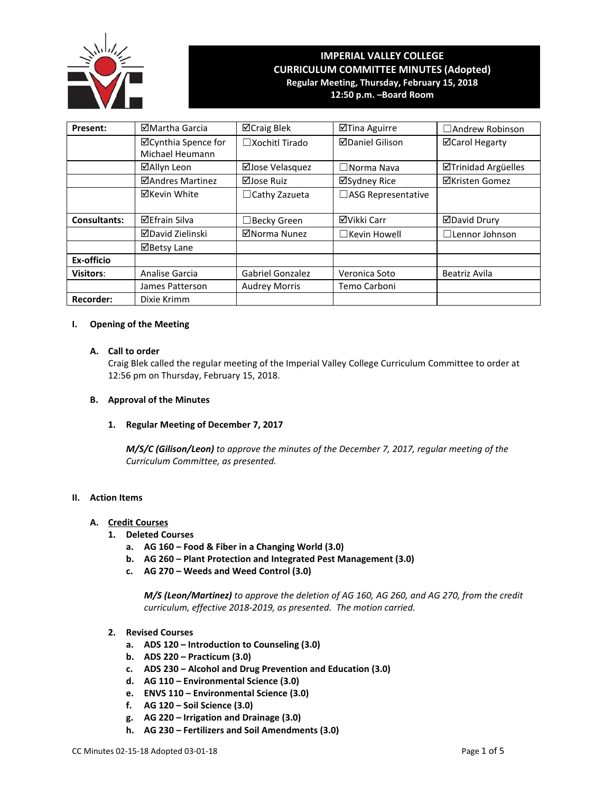

# **IMPERIAL VALLEY COLLEGE CURRICULUM COMMITTEE MINUTES (Adopted) Regular Meeting, Thursday, February 15, 2018 12:50 p.m. –Board Room**

**Present:** │ ⊠Martha Garcia │ ⊠Craig Blek │ ⊠Tina Aguirre │ □Andrew Robinson Cynthia Spence for Michael Heumann □Xochitl Tirado | ØDaniel Gilison | ØCarol Hegarty **ØAllyn Leon** │ ØJose Velasquez │ □Norma Nava │ ØTrinidad Argüelles **ØAndres Martinez** | ØJose Ruiz | ØSydney Rice | ØKristen Gomez **⊠Kevin White** │ □Cathy Zazueta │ □ASG Representative Consultants: | ⊠Efrain Silva | □Becky Green | ⊠Vikki Carr | ⊠David Drury David Zielinski Norma Nunez ☐Kevin Howell ☐Lennor Johnson ■Betsy Lane **Ex-officio Visitors**: Analise Garcia | Gabriel Gonzalez | Veronica Soto | Beatriz Avila James Patterson | Audrey Morris | Temo Carboni **Recorder:** | Dixie Krimm

## **I. Opening of the Meeting**

#### **A. Call to order**

Craig Blek called the regular meeting of the Imperial Valley College Curriculum Committee to order at 12:56 pm on Thursday, February 15, 2018.

## **B. Approval of the Minutes**

#### **1. Regular Meeting of December 7, 2017**

*M/S/C (Gilison/Leon) to approve the minutes of the December 7, 2017, regular meeting of the Curriculum Committee, as presented.* 

## **II. Action Items**

## **A. Credit Courses**

- **1. Deleted Courses**
	- **a. AG 160 – Food & Fiber in a Changing World (3.0)**
	- **b. AG 260 – Plant Protection and Integrated Pest Management (3.0)**
	- **c. AG 270 – Weeds and Weed Control (3.0)**

*M/S (Leon/Martinez) to approve the deletion of AG 160, AG 260, and AG 270, from the credit curriculum, effective 2018-2019, as presented. The motion carried.*

- **2. Revised Courses**
	- **a. ADS 120 – Introduction to Counseling (3.0)**
	- **b. ADS 220 – Practicum (3.0)**
	- **c. ADS 230 – Alcohol and Drug Prevention and Education (3.0)**
	- **d. AG 110 – Environmental Science (3.0)**
	- **e. ENVS 110 – Environmental Science (3.0)**
	- **f. AG 120 – Soil Science (3.0)**
	- **g. AG 220 – Irrigation and Drainage (3.0)**
	- **h. AG 230 – Fertilizers and Soil Amendments (3.0)**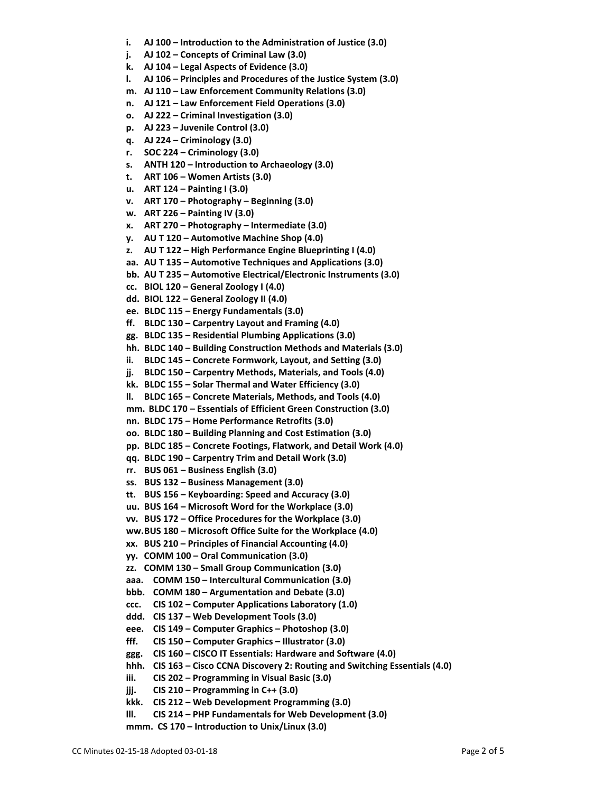- **i. AJ 100 – Introduction to the Administration of Justice (3.0)**
- **j. AJ 102 – Concepts of Criminal Law (3.0)**
- **k. AJ 104 – Legal Aspects of Evidence (3.0)**
- **l. AJ 106 – Principles and Procedures of the Justice System (3.0)**
- **m. AJ 110 – Law Enforcement Community Relations (3.0)**
- **n. AJ 121 – Law Enforcement Field Operations (3.0)**
- **o. AJ 222 – Criminal Investigation (3.0)**
- **p. AJ 223 – Juvenile Control (3.0)**
- **q. AJ 224 – Criminology (3.0)**
- **r. SOC 224 – Criminology (3.0)**
- **s. ANTH 120 – Introduction to Archaeology (3.0)**
- **t. ART 106 – Women Artists (3.0)**
- **u. ART 124 – Painting I (3.0)**
- **v. ART 170 – Photography – Beginning (3.0)**
- **w. ART 226 – Painting IV (3.0)**
- **x. ART 270 – Photography – Intermediate (3.0)**
- **y. AU T 120 – Automotive Machine Shop (4.0)**
- **z. AU T 122 – High Performance Engine Blueprinting I (4.0)**
- **aa. AU T 135 – Automotive Techniques and Applications (3.0)**
- **bb. AU T 235 – Automotive Electrical/Electronic Instruments (3.0)**
- **cc. BIOL 120 – General Zoology I (4.0)**
- **dd. BIOL 122 – General Zoology II (4.0)**
- **ee. BLDC 115 – Energy Fundamentals (3.0)**
- **ff. BLDC 130 – Carpentry Layout and Framing (4.0)**
- **gg. BLDC 135 – Residential Plumbing Applications (3.0)**
- **hh. BLDC 140 – Building Construction Methods and Materials (3.0)**
- **ii. BLDC 145 – Concrete Formwork, Layout, and Setting (3.0)**
- **jj. BLDC 150 – Carpentry Methods, Materials, and Tools (4.0)**
- **kk. BLDC 155 – Solar Thermal and Water Efficiency (3.0)**
- **ll. BLDC 165 – Concrete Materials, Methods, and Tools (4.0)**
- **mm. BLDC 170 – Essentials of Efficient Green Construction (3.0)**
- **nn. BLDC 175 – Home Performance Retrofits (3.0)**
- **oo. BLDC 180 – Building Planning and Cost Estimation (3.0)**
- **pp. BLDC 185 – Concrete Footings, Flatwork, and Detail Work (4.0)**
- **qq. BLDC 190 – Carpentry Trim and Detail Work (3.0)**
- **rr. BUS 061 – Business English (3.0)**
- **ss. BUS 132 – Business Management (3.0)**
- **tt. BUS 156 – Keyboarding: Speed and Accuracy (3.0)**
- **uu. BUS 164 – Microsoft Word for the Workplace (3.0)**
- **vv. BUS 172 – Office Procedures for the Workplace (3.0)**
- **ww.BUS 180 – Microsoft Office Suite for the Workplace (4.0)**
- **xx. BUS 210 – Principles of Financial Accounting (4.0)**
- **yy. COMM 100 – Oral Communication (3.0)**
- **zz. COMM 130 – Small Group Communication (3.0)**
- **aaa. COMM 150 – Intercultural Communication (3.0)**
- **bbb. COMM 180 – Argumentation and Debate (3.0)**
- **ccc. CIS 102 – Computer Applications Laboratory (1.0)**
- **ddd. CIS 137 – Web Development Tools (3.0)**
- **eee. CIS 149 – Computer Graphics – Photoshop (3.0)**
- **fff. CIS 150 – Computer Graphics – Illustrator (3.0)**
- **ggg. CIS 160 – CISCO IT Essentials: Hardware and Software (4.0)**
- **hhh. CIS 163 – Cisco CCNA Discovery 2: Routing and Switching Essentials (4.0)**
- **iii. CIS 202 – Programming in Visual Basic (3.0)**
- **jjj. CIS 210 – Programming in C++ (3.0)**
- **kkk. CIS 212 – Web Development Programming (3.0)**
- **lll. CIS 214 – PHP Fundamentals for Web Development (3.0)**
- **mmm. CS 170 – Introduction to Unix/Linux (3.0)**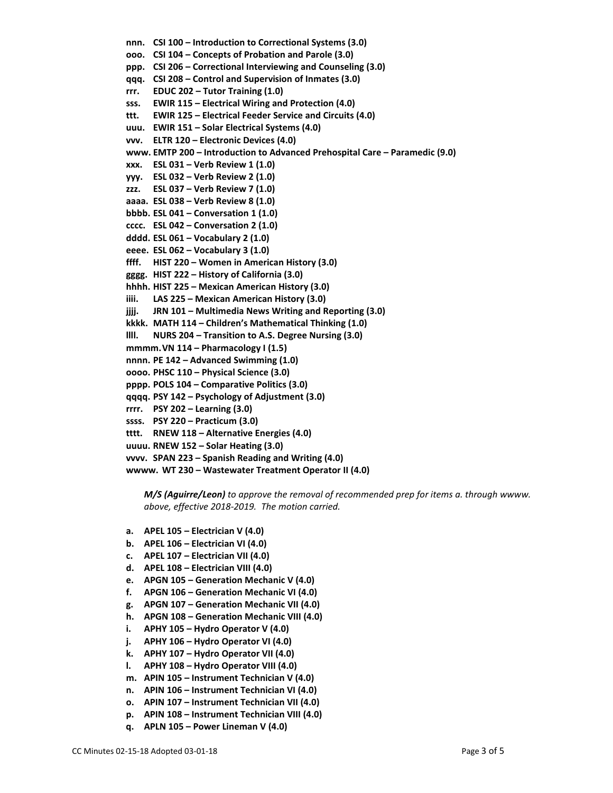**nnn. CSI 100 – Introduction to Correctional Systems (3.0) ooo. CSI 104 – Concepts of Probation and Parole (3.0) ppp. CSI 206 – Correctional Interviewing and Counseling (3.0) qqq. CSI 208 – Control and Supervision of Inmates (3.0) rrr. EDUC 202 – Tutor Training (1.0) sss. EWIR 115 – Electrical Wiring and Protection (4.0) ttt. EWIR 125 – Electrical Feeder Service and Circuits (4.0) uuu. EWIR 151 – Solar Electrical Systems (4.0) vvv. ELTR 120 – Electronic Devices (4.0) www. EMTP 200 – Introduction to Advanced Prehospital Care – Paramedic (9.0) xxx. ESL 031 – Verb Review 1 (1.0) yyy. ESL 032 – Verb Review 2 (1.0) zzz. ESL 037 – Verb Review 7 (1.0) aaaa. ESL 038 – Verb Review 8 (1.0) bbbb. ESL 041 – Conversation 1 (1.0) cccc. ESL 042 – Conversation 2 (1.0) dddd. ESL 061 – Vocabulary 2 (1.0) eeee. ESL 062 – Vocabulary 3 (1.0) ffff. HIST 220 – Women in American History (3.0) gggg. HIST 222 – History of California (3.0) hhhh. HIST 225 – Mexican American History (3.0) iiii. LAS 225 – Mexican American History (3.0) jjjj. JRN 101 – Multimedia News Writing and Reporting (3.0) kkkk. MATH 114 – Children's Mathematical Thinking (1.0) llll. NURS 204 – Transition to A.S. Degree Nursing (3.0) mmmm.VN 114 – Pharmacology I (1.5) nnnn. PE 142 – Advanced Swimming (1.0) oooo. PHSC 110 – Physical Science (3.0) pppp. POLS 104 – Comparative Politics (3.0) qqqq. PSY 142 – Psychology of Adjustment (3.0) rrrr. PSY 202 – Learning (3.0) ssss. PSY 220 – Practicum (3.0) tttt. RNEW 118 – Alternative Energies (4.0) uuuu. RNEW 152 – Solar Heating (3.0) vvvv. SPAN 223 – Spanish Reading and Writing (4.0) wwww. WT 230 – Wastewater Treatment Operator II (4.0)**

*M/S (Aguirre/Leon) to approve the removal of recommended prep for items a. through wwww. above, effective 2018-2019. The motion carried.*

- **a. APEL 105 – Electrician V (4.0)**
- **b. APEL 106 – Electrician VI (4.0)**
- **c. APEL 107 – Electrician VII (4.0)**
- **d. APEL 108 – Electrician VIII (4.0)**
- **e. APGN 105 – Generation Mechanic V (4.0)**
- **f. APGN 106 – Generation Mechanic VI (4.0)**
- **g. APGN 107 – Generation Mechanic VII (4.0)**
- **h. APGN 108 – Generation Mechanic VIII (4.0)**
- **i. APHY 105 – Hydro Operator V (4.0)**
- **j. APHY 106 – Hydro Operator VI (4.0)**
- **k. APHY 107 – Hydro Operator VII (4.0)**
- **l. APHY 108 – Hydro Operator VIII (4.0)**
- **m. APIN 105 – Instrument Technician V (4.0)**
- **n. APIN 106 – Instrument Technician VI (4.0)**
- **o. APIN 107 – Instrument Technician VII (4.0)**
- **p. APIN 108 – Instrument Technician VIII (4.0)**
- **q. APLN 105 – Power Lineman V (4.0)**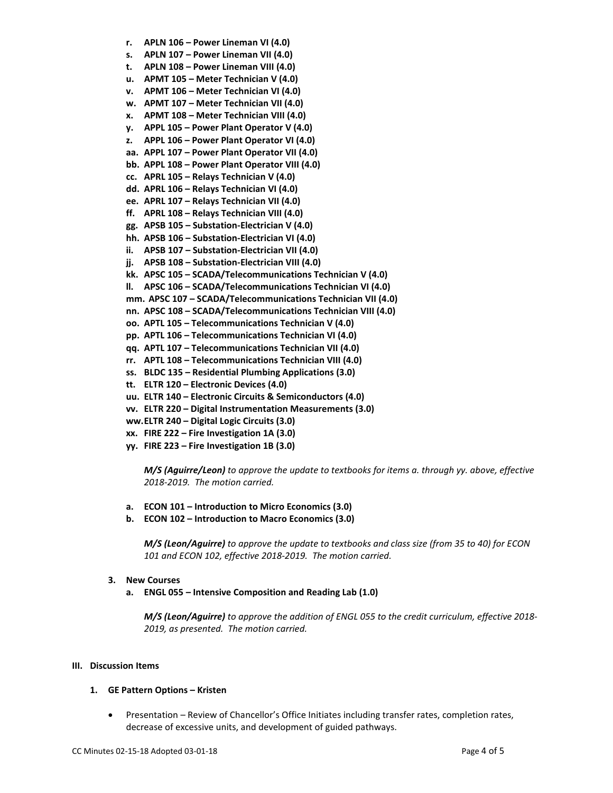- **r. APLN 106 – Power Lineman VI (4.0)**
- **s. APLN 107 – Power Lineman VII (4.0)**
- **t. APLN 108 – Power Lineman VIII (4.0)**
- **u. APMT 105 – Meter Technician V (4.0)**
- **v. APMT 106 – Meter Technician VI (4.0)**
- **w. APMT 107 – Meter Technician VII (4.0)**
- **x. APMT 108 – Meter Technician VIII (4.0)**
- **y. APPL 105 – Power Plant Operator V (4.0)**
- **z. APPL 106 – Power Plant Operator VI (4.0)**
- **aa. APPL 107 – Power Plant Operator VII (4.0)**
- **bb. APPL 108 – Power Plant Operator VIII (4.0)**
- **cc. APRL 105 – Relays Technician V (4.0)**
- **dd. APRL 106 – Relays Technician VI (4.0)**
- **ee. APRL 107 – Relays Technician VII (4.0)**
- **ff. APRL 108 – Relays Technician VIII (4.0)**
- **gg. APSB 105 – Substation-Electrician V (4.0)**
- **hh. APSB 106 – Substation-Electrician VI (4.0)**
- **ii. APSB 107 – Substation-Electrician VII (4.0)**
- **jj. APSB 108 – Substation-Electrician VIII (4.0)**
- **kk. APSC 105 – SCADA/Telecommunications Technician V (4.0)**
- **ll. APSC 106 – SCADA/Telecommunications Technician VI (4.0)**
- **mm. APSC 107 – SCADA/Telecommunications Technician VII (4.0)**
- **nn. APSC 108 – SCADA/Telecommunications Technician VIII (4.0)**
- **oo. APTL 105 – Telecommunications Technician V (4.0)**
- **pp. APTL 106 – Telecommunications Technician VI (4.0)**
- **qq. APTL 107 – Telecommunications Technician VII (4.0)**
- **rr. APTL 108 – Telecommunications Technician VIII (4.0)**
- **ss. BLDC 135 – Residential Plumbing Applications (3.0)**
- **tt. ELTR 120 – Electronic Devices (4.0)**
- **uu. ELTR 140 – Electronic Circuits & Semiconductors (4.0)**
- **vv. ELTR 220 – Digital Instrumentation Measurements (3.0)**
- **ww.ELTR 240 – Digital Logic Circuits (3.0)**
- **xx. FIRE 222 – Fire Investigation 1A (3.0)**
- **yy. FIRE 223 – Fire Investigation 1B (3.0)**

*M/S (Aguirre/Leon) to approve the update to textbooks for items a. through yy. above, effective 2018-2019. The motion carried.*

- **a. ECON 101 – Introduction to Micro Economics (3.0)**
- **b. ECON 102 – Introduction to Macro Economics (3.0)**

*M/S (Leon/Aguirre) to approve the update to textbooks and class size (from 35 to 40) for ECON 101 and ECON 102, effective 2018-2019. The motion carried.*

- **3. New Courses**
	- **a. ENGL 055 – Intensive Composition and Reading Lab (1.0)**

*M/S (Leon/Aguirre) to approve the addition of ENGL 055 to the credit curriculum, effective 2018- 2019, as presented. The motion carried.*

#### **III. Discussion Items**

- **1. GE Pattern Options – Kristen**
	- Presentation Review of Chancellor's Office Initiates including transfer rates, completion rates, decrease of excessive units, and development of guided pathways.